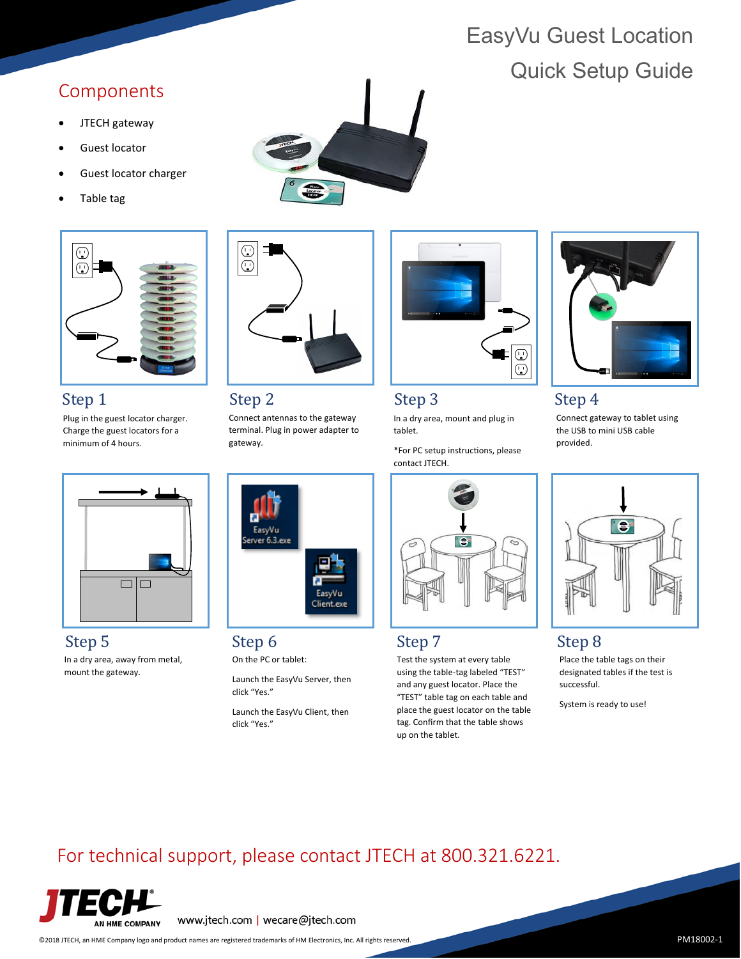# EasyVu Guest Location Quick Setup Guide

## Components

- JTECH gateway
- Guest locator
- Guest locator charger
- Table tag



### Step 1

Plug in the guest locator charger. Charge the guest locators for a minimum of 4 hours.



# $\odot$ ⊐  $\overline{\mathbb{O}}$

Step 2

Connect antennas to the gateway terminal. Plug in power adapter to gateway.



Step 3 Step 4

In a dry area, mount and plug in tablet.

\*For PC setup instructions, please contact JTECH.



Connect gateway to tablet using the USB to mini USB cable provided.



Step 5 Step 6 Step 7 Step 8 Step 8 In a dry area, away from metal, mount the gateway.



On the PC or tablet:

Launch the EasyVu Server, then click "Yes."

Launch the EasyVu Client, then click "Yes."



Test the system at every table using the table-tag labeled "TEST" and any guest locator. Place the "TEST" table tag on each table and place the guest locator on the table tag. Confirm that the table shows up on the tablet.



Place the table tags on their designated tables if the test is successful.

System is ready to use!

# For technical support, please contact JTECH at 800.321.6221.



www.jtech.com | wecare@jtech.com

©2018 JTECH, an HME Company logo and product names are registered trademarks of HM Electronics, Inc. All rights reserved. P PM18002-1